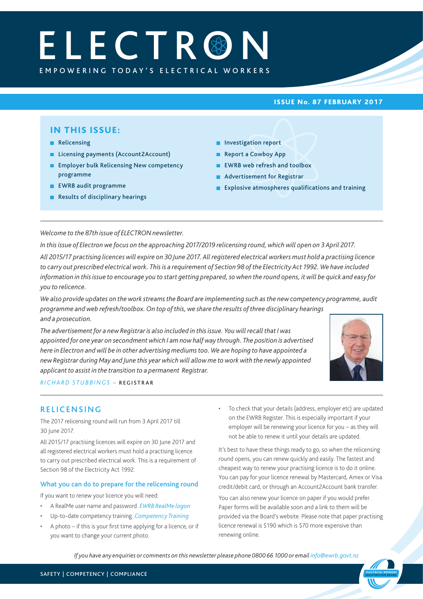# EMPOWERING TODAY'S ELECTRICAL WORKERS **ELECTR®N**

## ISSUE No. 87 FEBRUARY 2017

# IN THIS ISSUE:

- Relicensing
- Licensing payments (Account2Account)
- **Employer bulk Relicensing New competency** programme
- **EWRB** audit programme
- Results of disciplinary hearings
- **Investigation report**
- Report a Cowboy App
- **EWRB** web refresh and toolbox
- **Advertisement for Registrar**
- **Explosive atmospheres qualifications and training**

*Welcome to the 87th issue of ELECTRON newsletter.*

*In this issue of Electron we focus on the approaching 2017/2019 relicensing round, which will open on 3 April 2017. All 2015/17 practising licences will expire on 30 June 2017. All registered electrical workers must hold a practising licence to carry out prescribed electrical work. This is a requirement of Section 98 of the Electricity Act 1992. We have included information in this issue to encourage you to start getting prepared, so when the round opens, it will be quick and easy for you to relicence.*

*We also provide updates on the work streams the Board are implementing such as the new competency programme, audit programme and web refresh/toolbox. On top of this, we share the results of three disciplinary hearings and a prosecution.*

*The advertisement for a new Registrar is also included in this issue. You will recall that I was appointed for one year on secondment which I am now half way through. The position is advertised here in Electron and will be in other advertising mediums too. We are hoping to have appointed a new Registrar during May and June this year which will allow me to work with the newly appointed applicant to assist in the transition to a permanent Registrar.*



*REGISTRATION BOARD*

*RICHARD STUBBINGS –* REGISTRAR

## RELICENSING

The 2017 relicensing round will run from 3 April 2017 till 30 June 2017.

All 2015/17 practising licences will expire on 30 June 2017 and all registered electrical workers must hold a practising licence to carry out prescribed electrical work. This is a requirement of Section 98 of the Electricity Act 1992.

## What you can do to prepare for the relicensing round

If you want to renew your licence you will need:

- A RealMe user name and password. *[EWRB RealMe logon](https://ewrb.ewr.govt.nz/OnlineAccount/Login.aspx)*
- Up-to-date competency training. *[Competency Training](https://www.ewrb.govt.nz/becoming-an-electrical-worker/training-qualifications-and-requirements/)*
- A photo if this is your first time applying for a licence, or if you want to change your current photo.

• To check that your details (address, employer etc) are updated on the EWRB Register. This is especially important if your employer will be renewing your licence for you – as they will not be able to renew it until your details are updated.

It's best to have these things ready to go, so when the relicensing round opens, you can renew quickly and easily. The fastest and cheapest way to renew your practising licence is to do it online. You can pay for your licence renewal by Mastercard, Amex or Visa credit/debit card, or through an Account2Account bank transfer.

You can also renew your licence on paper if you would prefer. Paper forms will be available soon and a link to them will be provided via the Board's website. Please note that paper practising licence renewal is \$190 which is \$70 more expensive than renewing online.

*If you have any enquiries or comments on this newsletter please phone 0800 66 1000 or email [info@ewrb.govt.nz](mailto:info@ewrb.govt.nz)*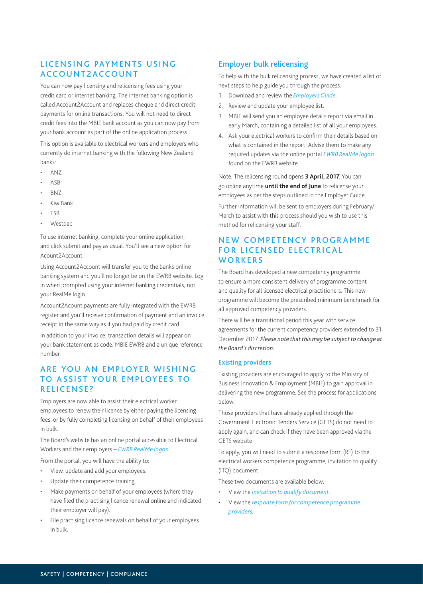# LICENSING PAYMENTS USING ACCOUNT2ACCOUNT

You can now pay licensing and relicensing fees using your credit card or internet banking. The internet banking option is called Account2Account and replaces cheque and direct credit payments for online transactions. You will not need to direct credit fees into the MBIE bank account as you can now pay from your bank account as part of the online application process.

This option is available to electrical workers and employers who currently do internet banking with the following New Zealand banks:

- ANZ
- ASB
- BNZ
- KiwiBank
- TSB
- Westpac

To use internet banking, complete your online application, and click submit and pay as usual. You'll see a new option for Acount2Account.

Using Account2Account will transfer you to the banks online banking system and you'll no longer be on the EWRB website. Log in when prompted using your internet banking credentials, not your RealMe login.

Account2Acount payments are fully integrated with the EWRB register and you'll receive confirmation of payment and an invoice receipt in the same way as if you had paid by credit card.

In addition to your invoice, transaction details will appear on your bank statement as code: MBIE EWRB and a unique reference number.

# ARE YOU AN EMPLOYER WISHING TO ASSIST YOUR EMPLOYEES TO RELICENSE?

Employers are now able to assist their electrical worker employees to renew their licence by either paying the licensing fees, or by fully completing licensing on behalf of their employees in bulk.

The Board's website has an online portal accessible to Electrical Workers and their employers – *[EWRB RealMe logon](https://ewrb.ewr.govt.nz/OnlineAccount/Login.aspx)*

From the portal, you will have the ability to:

- View, update and add your employees.
- Update their competence training.
- Make payments on behalf of your employees (where they have filed the practising licence renewal online and indicated their employer will pay).
- File practising licence renewals on behalf of your employees in bulk.

## Employer bulk relicensing

To help with the bulk relicensing process, we have created a list of next steps to help guide you through the process:

- 1. Download and review the *[Employers Guide](https://www.ewrb.govt.nz/about-us/news-and-notices/system-guide-for-employers-of-electrical-workers/)*.
- 2. Review and update your employee list.
- 3. MBIE will send you an employee details report via email in early March, containing a detailed list of all your employees.
- 4. Ask your electrical workers to confirm their details based on what is contained in the report. Advise them to make any required updates via the online portal *[EWRB RealMe logon](https://ewrb.ewr.govt.nz/OnlineAccount/Login.aspx)* found on the EWRB website.

Note: The relicensing round opens **3 April, 2017**. You can go online anytime **until the end of June** to relicense your employees as per the steps outlined in the Employer Guide.

Further information will be sent to employers during February/ March to assist with this process should you wish to use this method for relicensing your staff.

# N F W COMPETENCY PROGRAMME FOR LICENSED FLECTRICAL **WORKERS**

The Board has developed a new competency programme to ensure a more consistent delivery of programme content and quality for all licensed electrical practitioners. This new programme will become the prescribed minimum benchmark for all approved competency providers.

There will be a transitional period this year with service agreements for the current competency providers extended to 31 December 2017. *Please note that this may be subject to change at the Board's discretion.*

## Existing providers

Existing providers are encouraged to apply to the Ministry of Business Innovation & Employment (MBIE) to gain approval in delivering the new programme. See the process for applications below.

Those providers that have already applied through the Government Electronic Tenders Service (GETS) do not need to apply again, and can check if they have been approved via the GETS website

To apply, you will need to submit a response form (RF) to the electrical workers competence programme, invitation to qualify (ITQ) document.

These two documents are available below:

- View the *[invitation to qualify document](https://www.ewrb.govt.nz/working-safely-and-in-compliance/competency-programmes/)*.
- View the *response form for competence programme [providers](http://www.ewrb.govt.nz/assets/EWRB/files/Training-and-qualifications/competence-programmes/Response-Form-for-CPPs-.docx)*.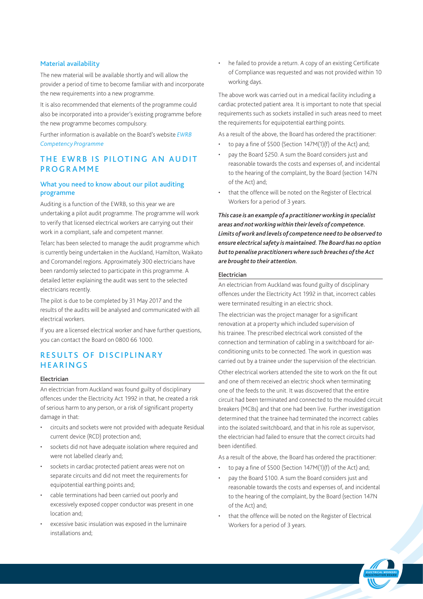#### Material availability

The new material will be available shortly and will allow the provider a period of time to become familiar with and incorporate the new requirements into a new programme.

It is also recommended that elements of the programme could also be incorporated into a provider's existing programme before the new programme becomes compulsory.

Further information is available on the Board's website *[EWRB](https://www.ewrb.govt.nz/working-safely-and-in-compliance/competency-programmes/new-competency-programme-for-licensed-electrical-practitioners/)  [Competency Programme](http://www.ewrb.govt.nz/training-and-qualifications/competence-programmes/new-competency-programme-for-licenced-electrical-practitioners/)*

## THE EWRB IS PILOTING AN AUDIT **PROGRAMME**

## What you need to know about our pilot auditing programme

Auditing is a function of the EWRB, so this year we are undertaking a pilot audit programme. The programme will work to verify that licensed electrical workers are carrying out their work in a compliant, safe and competent manner.

Telarc has been selected to manage the audit programme which is currently being undertaken in the Auckland, Hamilton, Waikato and Coromandel regions. Approximately 300 electricians have been randomly selected to participate in this programme. A detailed letter explaining the audit was sent to the selected electricians recently.

The pilot is due to be completed by 31 May 2017 and the results of the audits will be analysed and communicated with all electrical workers.

If you are a licensed electrical worker and have further questions, you can contact the Board on 0800 66 1000.

# RESULTS OF DISCIPLINARY HEARINGS

#### Electrician

An electrician from Auckland was found guilty of disciplinary offences under the Electricity Act 1992 in that, he created a risk of serious harm to any person, or a risk of significant property damage in that:

- circuits and sockets were not provided with adequate Residual current device (RCD) protection and;
- sockets did not have adequate isolation where required and were not labelled clearly and;
- sockets in cardiac protected patient areas were not on separate circuits and did not meet the requirements for equipotential earthing points and;
- cable terminations had been carried out poorly and excessively exposed copper conductor was present in one location and;
- excessive basic insulation was exposed in the luminaire installations and;

he failed to provide a return. A copy of an existing Certificate of Compliance was requested and was not provided within 10 working days.

The above work was carried out in a medical facility including a cardiac protected patient area. It is important to note that special requirements such as sockets installed in such areas need to meet the requirements for equipotential earthing points.

As a result of the above, the Board has ordered the practitioner:

- to pay a fine of \$500 (Section 147M(1)(f) of the Act) and;
- pay the Board \$250. A sum the Board considers just and reasonable towards the costs and expenses of, and incidental to the hearing of the complaint, by the Board (section 147N of the Act) and;
- that the offence will be noted on the Register of Electrical Workers for a period of 3 years.

*This case is an example of a practitioner working in specialist areas and not working within their levels of competence. Limits of work and levels of competence need to be observed to ensure electrical safety is maintained. The Board has no option but to penalise practitioners where such breaches of the Act are brought to their attention.*

#### Electrician

An electrician from Auckland was found guilty of disciplinary offences under the Electricity Act 1992 in that, incorrect cables were terminated resulting in an electric shock.

The electrician was the project manager for a significant renovation at a property which included supervision of his trainee. The prescribed electrical work consisted of the connection and termination of cabling in a switchboard for airconditioning units to be connected. The work in question was carried out by a trainee under the supervision of the electrician.

Other electrical workers attended the site to work on the fit out and one of them received an electric shock when terminating one of the feeds to the unit. It was discovered that the entire circuit had been terminated and connected to the moulded circuit breakers (MCBs) and that one had been live. Further investigation determined that the trainee had terminated the incorrect cables into the isolated switchboard, and that in his role as supervisor, the electrician had failed to ensure that the correct circuits had been identified.

As a result of the above, the Board has ordered the practitioner:

- to pay a fine of \$500 (Section 147M(1)(f) of the Act) and;
- pay the Board \$100. A sum the Board considers just and reasonable towards the costs and expenses of, and incidental to the hearing of the complaint, by the Board (section 147N of the Act) and;
- that the offence will be noted on the Register of Electrical Workers for a period of 3 years.

 *ELECTRICAL WORKERS REGISTRATION BOARD*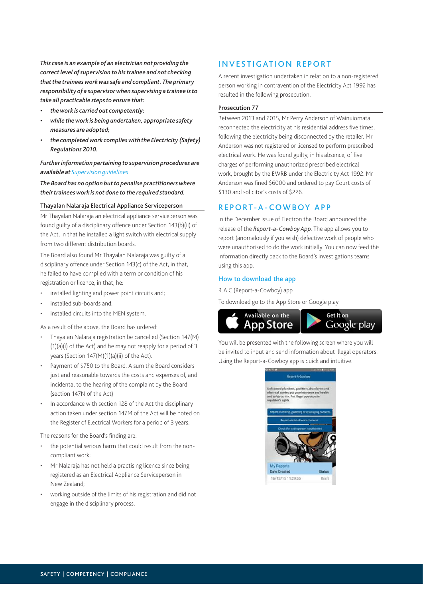*This case is an example of an electrician not providing the correct level of supervision to his trainee and not checking that the trainees work was safe and compliant. The primary responsibility of a supervisor when supervising a trainee is to take all practicable steps to ensure that:*

- *• the work is carried out competently;*
- *• while the work is being undertaken, appropriate safety measures are adopted;*
- *• the completed work complies with the Electricity (Safety) Regulations 2010.*

## *Further information pertaining to supervision procedures are available at [Supervision guidelines](http://www.ewrb.govt.nz/assets/EWRB/files/about-the-board/rules-of-the-board/supervision-trainees-holding-limited-certificate.pdf)*

*The Board has no option but to penalise practitioners where their trainees work is not done to the required standard.*

## Thayalan Nalaraja Electrical Appliance Serviceperson

Mr Thayalan Nalaraja an electrical appliance serviceperson was found guilty of a disciplinary offence under Section 143(b)(ii) of the Act, in that he installed a light switch with electrical supply from two different distribution boards.

The Board also found Mr Thayalan Nalaraja was guilty of a disciplinary offence under Section 143(c) of the Act, in that, he failed to have complied with a term or condition of his registration or licence, in that, he:

- installed lighting and power point circuits and;
- installed sub-boards and;
- installed circuits into the MEN system.

As a result of the above, the Board has ordered:

- Thayalan Nalaraja registration be cancelled (Section 147(M) (1)(a)(i) of the Act) and he may not reapply for a period of 3 years (Section 147(M)(1)(a)(ii) of the Act).
- Payment of \$750 to the Board. A sum the Board considers just and reasonable towards the costs and expenses of, and incidental to the hearing of the complaint by the Board (section 147N of the Act)
- In accordance with section 128 of the Act the disciplinary action taken under section 147M of the Act will be noted on the Register of Electrical Workers for a period of 3 years.

The reasons for the Board's finding are:

- the potential serious harm that could result from the noncompliant work;
- Mr Nalaraja has not held a practising licence since being registered as an Electrical Appliance Serviceperson in New Zealand;
- working outside of the limits of his registration and did not engage in the disciplinary process.

## INVESTIGATION REPORT

A recent investigation undertaken in relation to a non-registered person working in contravention of the Electricity Act 1992 has resulted in the following prosecution.

## Prosecution 77

Between 2013 and 2015, Mr Perry Anderson of Wainuiomata reconnected the electricity at his residential address five times, following the electricity being disconnected by the retailer. Mr Anderson was not registered or licensed to perform prescribed electrical work. He was found guilty, in his absence, of five charges of performing unauthorized prescribed electrical work, brought by the EWRB under the Electricity Act 1992. Mr Anderson was fined \$6000 and ordered to pay Court costs of \$130 and solicitor's costs of \$226.

## REPORT-A-COWBOY APP

In the December issue of Electron the Board announced the release of the *Report-a-Cowboy App*. The app allows you to report (anomalously if you wish) defective work of people who were unauthorised to do the work initially. You can now feed this information directly back to the Board's investigations teams using this app.

## How to download the app

R.A.C (Report-a-Cowboy) app

To download go to the App Store or Google play.



You will be presented with the following screen where you will be invited to input and send information about illegal operators. Using the Report-a-Cowboy app is quick and intuitive.

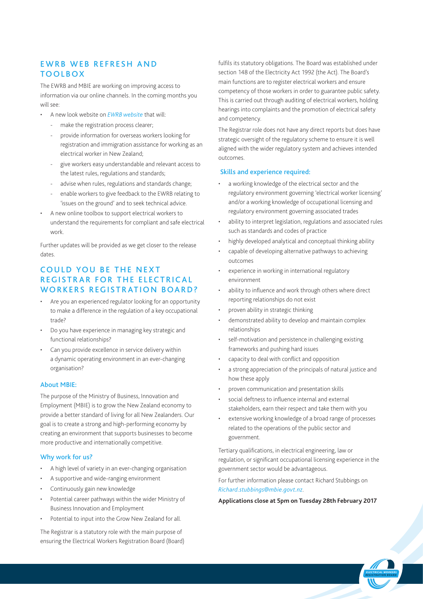# **EWRB WEB REFRESH AND** TOOLBOX

The EWRB and MBIE are working on improving access to information via our online channels. In the coming months you will see:

- A new look website on *[EWRB website](http://www.ewrb.govt.nz)* that will:
	- make the registration process clearer;
	- provide information for overseas workers looking for registration and immigration assistance for working as an electrical worker in New Zealand;
	- give workers easy understandable and relevant access to the latest rules, regulations and standards;
	- advise when rules, regulations and standards change;
	- enable workers to give feedback to the EWRB relating to 'issues on the ground' and to seek technical advice.
- A new online toolbox to support electrical workers to understand the requirements for compliant and safe electrical work.

Further updates will be provided as we get closer to the release dates.

# COULD YOU BE THE NEXT REGISTRAR FOR THE ELECTRICAL WORKERS REGISTRATION BOARD?

- Are you an experienced regulator looking for an opportunity to make a difference in the regulation of a key occupational trade?
- Do you have experience in managing key strategic and functional relationships?
- Can you provide excellence in service delivery within a dynamic operating environment in an ever-changing organisation?

## About MBIE:

The purpose of the Ministry of Business, Innovation and Employment (MBIE) is to grow the New Zealand economy to provide a better standard of living for all New Zealanders. Our goal is to create a strong and high-performing economy by creating an environment that supports businesses to become more productive and internationally competitive.

#### Why work for us?

- A high level of variety in an ever-changing organisation
- A supportive and wide-ranging environment
- Continuously gain new knowledge
- Potential career pathways within the wider Ministry of Business Innovation and Employment
- Potential to input into the Grow New Zealand for all.

The Registrar is a statutory role with the main purpose of ensuring the Electrical Workers Registration Board (Board) fulfils its statutory obligations. The Board was established under section 148 of the Electricity Act 1992 (the Act). The Board's main functions are to register electrical workers and ensure competency of those workers in order to guarantee public safety. This is carried out through auditing of electrical workers, holding hearings into complaints and the promotion of electrical safety and competency.

The Registrar role does not have any direct reports but does have strategic oversight of the regulatory scheme to ensure it is well aligned with the wider regulatory system and achieves intended outcomes.

## Skills and experience required:

- a working knowledge of the electrical sector and the regulatory environment governing 'electrical worker licensing' and/or a working knowledge of occupational licensing and regulatory environment governing associated trades
- ability to interpret legislation, regulations and associated rules such as standards and codes of practice
- highly developed analytical and conceptual thinking ability
- capable of developing alternative pathways to achieving outcomes
- experience in working in international regulatory environment
- ability to influence and work through others where direct reporting relationships do not exist
- proven ability in strategic thinking
- demonstrated ability to develop and maintain complex relationships
- self-motivation and persistence in challenging existing frameworks and pushing hard issues
- capacity to deal with conflict and opposition
- a strong appreciation of the principals of natural justice and how these apply
- proven communication and presentation skills
- social deftness to influence internal and external stakeholders, earn their respect and take them with you
- extensive working knowledge of a broad range of processes related to the operations of the public sector and government.

Tertiary qualifications, in electrical engineering, law or regulation, or significant occupational licensing experience in the government sector would be advantageous.

For further information please contact Richard Stubbings on *[Richard.stubbings@mbie.govt.nz](mailto:Richard.stubbings@mbie.govt.nz)*.

#### **Applications close at 5pm on Tuesday 28th February 2017**